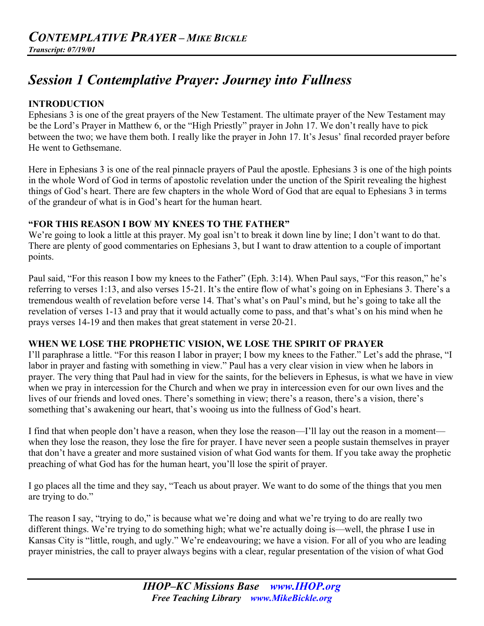# *Session 1 Contemplative Prayer: Journey into Fullness*

#### **INTRODUCTION**

Ephesians 3 is one of the great prayers of the New Testament. The ultimate prayer of the New Testament may be the Lord's Prayer in Matthew 6, or the "High Priestly" prayer in John 17. We don't really have to pick between the two; we have them both. I really like the prayer in John 17. It's Jesus' final recorded prayer before He went to Gethsemane.

Here in Ephesians 3 is one of the real pinnacle prayers of Paul the apostle. Ephesians 3 is one of the high points in the whole Word of God in terms of apostolic revelation under the unction of the Spirit revealing the highest things of God's heart. There are few chapters in the whole Word of God that are equal to Ephesians 3 in terms of the grandeur of what is in God's heart for the human heart.

## **"FOR THIS REASON I BOW MY KNEES TO THE FATHER"**

We're going to look a little at this prayer. My goal isn't to break it down line by line; I don't want to do that. There are plenty of good commentaries on Ephesians 3, but I want to draw attention to a couple of important points.

Paul said, "For this reason I bow my knees to the Father" (Eph. 3:14). When Paul says, "For this reason," he's referring to verses 1:13, and also verses 15-21. It's the entire flow of what's going on in Ephesians 3. There's a tremendous wealth of revelation before verse 14. That's what's on Paul's mind, but he's going to take all the revelation of verses 1-13 and pray that it would actually come to pass, and that's what's on his mind when he prays verses 14-19 and then makes that great statement in verse 20-21.

# **WHEN WE LOSE THE PROPHETIC VISION, WE LOSE THE SPIRIT OF PRAYER**

I'll paraphrase a little. "For this reason I labor in prayer; I bow my knees to the Father." Let's add the phrase, "I labor in prayer and fasting with something in view." Paul has a very clear vision in view when he labors in prayer. The very thing that Paul had in view for the saints, for the believers in Ephesus, is what we have in view when we pray in intercession for the Church and when we pray in intercession even for our own lives and the lives of our friends and loved ones. There's something in view; there's a reason, there's a vision, there's something that's awakening our heart, that's wooing us into the fullness of God's heart.

I find that when people don't have a reason, when they lose the reason—I'll lay out the reason in a moment when they lose the reason, they lose the fire for prayer. I have never seen a people sustain themselves in prayer that don't have a greater and more sustained vision of what God wants for them. If you take away the prophetic preaching of what God has for the human heart, you'll lose the spirit of prayer.

I go places all the time and they say, "Teach us about prayer. We want to do some of the things that you men are trying to do."

The reason I say, "trying to do," is because what we're doing and what we're trying to do are really two different things. We're trying to do something high; what we're actually doing is—well, the phrase I use in Kansas City is "little, rough, and ugly." We're endeavouring; we have a vision. For all of you who are leading prayer ministries, the call to prayer always begins with a clear, regular presentation of the vision of what God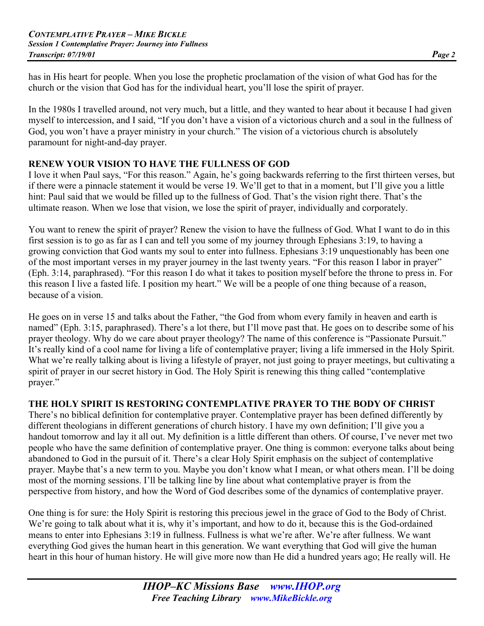has in His heart for people. When you lose the prophetic proclamation of the vision of what God has for the church or the vision that God has for the individual heart, you'll lose the spirit of prayer.

In the 1980s I travelled around, not very much, but a little, and they wanted to hear about it because I had given myself to intercession, and I said, "If you don't have a vision of a victorious church and a soul in the fullness of God, you won't have a prayer ministry in your church." The vision of a victorious church is absolutely paramount for night-and-day prayer.

# **RENEW YOUR VISION TO HAVE THE FULLNESS OF GOD**

I love it when Paul says, "For this reason." Again, he's going backwards referring to the first thirteen verses, but if there were a pinnacle statement it would be verse 19. We'll get to that in a moment, but I'll give you a little hint: Paul said that we would be filled up to the fullness of God. That's the vision right there. That's the ultimate reason. When we lose that vision, we lose the spirit of prayer, individually and corporately.

You want to renew the spirit of prayer? Renew the vision to have the fullness of God. What I want to do in this first session is to go as far as I can and tell you some of my journey through Ephesians 3:19, to having a growing conviction that God wants my soul to enter into fullness. Ephesians 3:19 unquestionably has been one of the most important verses in my prayer journey in the last twenty years. "For this reason I labor in prayer" (Eph. 3:14, paraphrased). "For this reason I do what it takes to position myself before the throne to press in. For this reason I live a fasted life. I position my heart." We will be a people of one thing because of a reason, because of a vision.

He goes on in verse 15 and talks about the Father, "the God from whom every family in heaven and earth is named" (Eph. 3:15, paraphrased). There's a lot there, but I'll move past that. He goes on to describe some of his prayer theology. Why do we care about prayer theology? The name of this conference is "Passionate Pursuit." It's really kind of a cool name for living a life of contemplative prayer; living a life immersed in the Holy Spirit. What we're really talking about is living a lifestyle of prayer, not just going to prayer meetings, but cultivating a spirit of prayer in our secret history in God. The Holy Spirit is renewing this thing called "contemplative prayer."

#### **THE HOLY SPIRIT IS RESTORING CONTEMPLATIVE PRAYER TO THE BODY OF CHRIST**

There's no biblical definition for contemplative prayer. Contemplative prayer has been defined differently by different theologians in different generations of church history. I have my own definition; I'll give you a handout tomorrow and lay it all out. My definition is a little different than others. Of course, I've never met two people who have the same definition of contemplative prayer. One thing is common: everyone talks about being abandoned to God in the pursuit of it. There's a clear Holy Spirit emphasis on the subject of contemplative prayer. Maybe that's a new term to you. Maybe you don't know what I mean, or what others mean. I'll be doing most of the morning sessions. I'll be talking line by line about what contemplative prayer is from the perspective from history, and how the Word of God describes some of the dynamics of contemplative prayer.

One thing is for sure: the Holy Spirit is restoring this precious jewel in the grace of God to the Body of Christ. We're going to talk about what it is, why it's important, and how to do it, because this is the God-ordained means to enter into Ephesians 3:19 in fullness. Fullness is what we're after. We're after fullness. We want everything God gives the human heart in this generation. We want everything that God will give the human heart in this hour of human history. He will give more now than He did a hundred years ago; He really will. He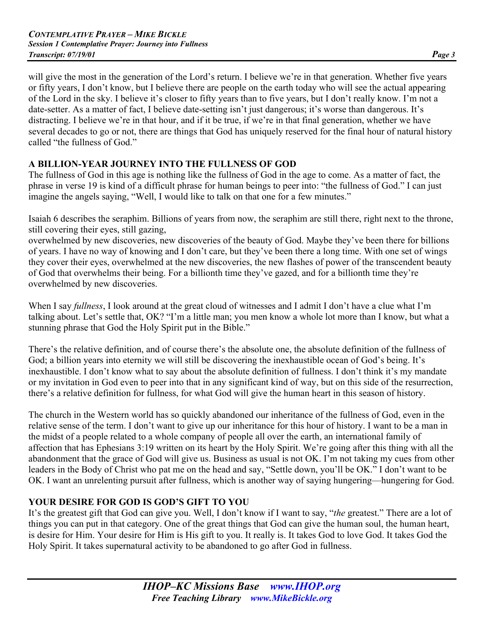will give the most in the generation of the Lord's return. I believe we're in that generation. Whether five years or fifty years, I don't know, but I believe there are people on the earth today who will see the actual appearing of the Lord in the sky. I believe it's closer to fifty years than to five years, but I don't really know. I'm not a date-setter. As a matter of fact, I believe date-setting isn't just dangerous; it's worse than dangerous. It's distracting. I believe we're in that hour, and if it be true, if we're in that final generation, whether we have several decades to go or not, there are things that God has uniquely reserved for the final hour of natural history called "the fullness of God"

# **A BILLION-YEAR JOURNEY INTO THE FULLNESS OF GOD**

The fullness of God in this age is nothing like the fullness of God in the age to come. As a matter of fact, the phrase in verse 19 is kind of a difficult phrase for human beings to peer into: "the fullness of God." I can just imagine the angels saying, "Well, I would like to talk on that one for a few minutes."

Isaiah 6 describes the seraphim. Billions of years from now, the seraphim are still there, right next to the throne, still covering their eyes, still gazing,

overwhelmed by new discoveries, new discoveries of the beauty of God. Maybe they've been there for billions of years. I have no way of knowing and I don't care, but they've been there a long time. With one set of wings they cover their eyes, overwhelmed at the new discoveries, the new flashes of power of the transcendent beauty of God that overwhelms their being. For a billionth time they've gazed, and for a billionth time they're overwhelmed by new discoveries.

When I say *fullness*, I look around at the great cloud of witnesses and I admit I don't have a clue what I'm talking about. Let's settle that, OK? "I'm a little man; you men know a whole lot more than I know, but what a stunning phrase that God the Holy Spirit put in the Bible."

There's the relative definition, and of course there's the absolute one, the absolute definition of the fullness of God; a billion years into eternity we will still be discovering the inexhaustible ocean of God's being. It's inexhaustible. I don't know what to say about the absolute definition of fullness. I don't think it's my mandate or my invitation in God even to peer into that in any significant kind of way, but on this side of the resurrection, there's a relative definition for fullness, for what God will give the human heart in this season of history.

The church in the Western world has so quickly abandoned our inheritance of the fullness of God, even in the relative sense of the term. I don't want to give up our inheritance for this hour of history. I want to be a man in the midst of a people related to a whole company of people all over the earth, an international family of affection that has Ephesians 3:19 written on its heart by the Holy Spirit. We're going after this thing with all the abandonment that the grace of God will give us. Business as usual is not OK. I'm not taking my cues from other leaders in the Body of Christ who pat me on the head and say, "Settle down, you'll be OK." I don't want to be OK. I want an unrelenting pursuit after fullness, which is another way of saying hungering—hungering for God.

# **YOUR DESIRE FOR GOD IS GOD'S GIFT TO YOU**

It's the greatest gift that God can give you. Well, I don't know if I want to say, "*the* greatest." There are a lot of things you can put in that category. One of the great things that God can give the human soul, the human heart, is desire for Him. Your desire for Him is His gift to you. It really is. It takes God to love God. It takes God the Holy Spirit. It takes supernatural activity to be abandoned to go after God in fullness.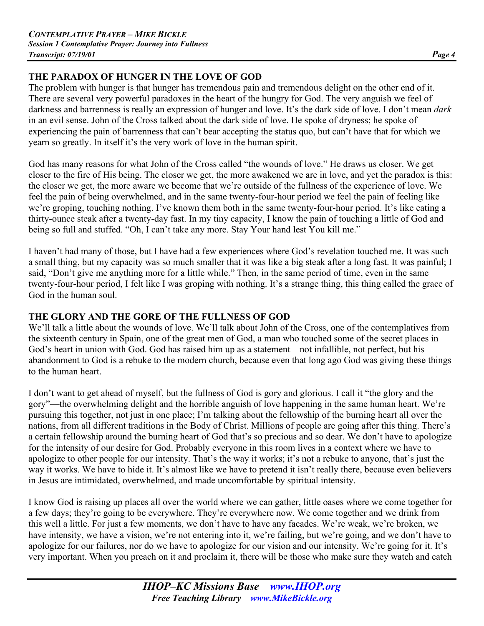## **THE PARADOX OF HUNGER IN THE LOVE OF GOD**

The problem with hunger is that hunger has tremendous pain and tremendous delight on the other end of it. There are several very powerful paradoxes in the heart of the hungry for God. The very anguish we feel of darkness and barrenness is really an expression of hunger and love. It's the dark side of love. I don't mean *dark* in an evil sense. John of the Cross talked about the dark side of love. He spoke of dryness; he spoke of experiencing the pain of barrenness that can't bear accepting the status quo, but can't have that for which we yearn so greatly. In itself it's the very work of love in the human spirit.

God has many reasons for what John of the Cross called "the wounds of love." He draws us closer. We get closer to the fire of His being. The closer we get, the more awakened we are in love, and yet the paradox is this: the closer we get, the more aware we become that we're outside of the fullness of the experience of love. We feel the pain of being overwhelmed, and in the same twenty-four-hour period we feel the pain of feeling like we're groping, touching nothing. I've known them both in the same twenty-four-hour period. It's like eating a thirty-ounce steak after a twenty-day fast. In my tiny capacity, I know the pain of touching a little of God and being so full and stuffed. "Oh, I can't take any more. Stay Your hand lest You kill me."

I haven't had many of those, but I have had a few experiences where God's revelation touched me. It was such a small thing, but my capacity was so much smaller that it was like a big steak after a long fast. It was painful; I said, "Don't give me anything more for a little while." Then, in the same period of time, even in the same twenty-four-hour period, I felt like I was groping with nothing. It's a strange thing, this thing called the grace of God in the human soul.

#### **THE GLORY AND THE GORE OF THE FULLNESS OF GOD**

We'll talk a little about the wounds of love. We'll talk about John of the Cross, one of the contemplatives from the sixteenth century in Spain, one of the great men of God, a man who touched some of the secret places in God's heart in union with God. God has raised him up as a statement—not infallible, not perfect, but his abandonment to God is a rebuke to the modern church, because even that long ago God was giving these things to the human heart.

I don't want to get ahead of myself, but the fullness of God is gory and glorious. I call it "the glory and the gory"—the overwhelming delight and the horrible anguish of love happening in the same human heart. We're pursuing this together, not just in one place; I'm talking about the fellowship of the burning heart all over the nations, from all different traditions in the Body of Christ. Millions of people are going after this thing. There's a certain fellowship around the burning heart of God that's so precious and so dear. We don't have to apologize for the intensity of our desire for God. Probably everyone in this room lives in a context where we have to apologize to other people for our intensity. That's the way it works; it's not a rebuke to anyone, that's just the way it works. We have to hide it. It's almost like we have to pretend it isn't really there, because even believers in Jesus are intimidated, overwhelmed, and made uncomfortable by spiritual intensity.

I know God is raising up places all over the world where we can gather, little oases where we come together for a few days; they're going to be everywhere. They're everywhere now. We come together and we drink from this well a little. For just a few moments, we don't have to have any facades. We're weak, we're broken, we have intensity, we have a vision, we're not entering into it, we're failing, but we're going, and we don't have to apologize for our failures, nor do we have to apologize for our vision and our intensity. We're going for it. It's very important. When you preach on it and proclaim it, there will be those who make sure they watch and catch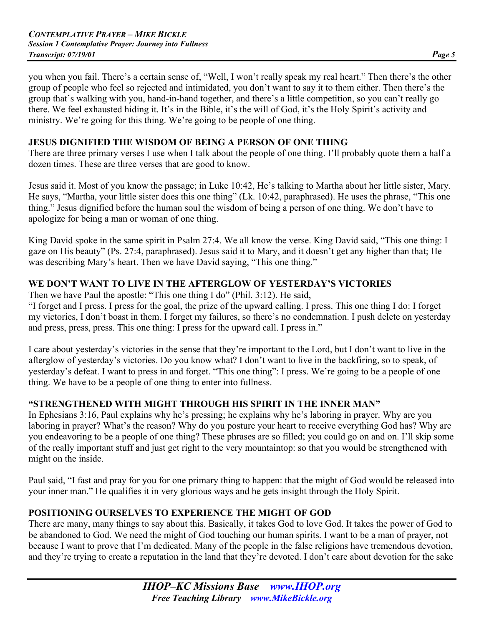you when you fail. There's a certain sense of, "Well, I won't really speak my real heart." Then there's the other group of people who feel so rejected and intimidated, you don't want to say it to them either. Then there's the group that's walking with you, hand-in-hand together, and there's a little competition, so you can't really go there. We feel exhausted hiding it. It's in the Bible, it's the will of God, it's the Holy Spirit's activity and ministry. We're going for this thing. We're going to be people of one thing.

#### **JESUS DIGNIFIED THE WISDOM OF BEING A PERSON OF ONE THING**

There are three primary verses I use when I talk about the people of one thing. I'll probably quote them a half a dozen times. These are three verses that are good to know.

Jesus said it. Most of you know the passage; in Luke 10:42, He's talking to Martha about her little sister, Mary. He says, "Martha, your little sister does this one thing" (Lk. 10:42, paraphrased). He uses the phrase, "This one thing." Jesus dignified before the human soul the wisdom of being a person of one thing. We don't have to apologize for being a man or woman of one thing.

King David spoke in the same spirit in Psalm 27:4. We all know the verse. King David said, "This one thing: I gaze on His beauty" (Ps. 27:4, paraphrased). Jesus said it to Mary, and it doesn't get any higher than that; He was describing Mary's heart. Then we have David saying, "This one thing."

## **WE DON'T WANT TO LIVE IN THE AFTERGLOW OF YESTERDAY'S VICTORIES**

Then we have Paul the apostle: "This one thing I do" (Phil. 3:12). He said,

"I forget and I press. I press for the goal, the prize of the upward calling. I press. This one thing I do: I forget my victories, I don't boast in them. I forget my failures, so there's no condemnation. I push delete on yesterday and press, press, press. This one thing: I press for the upward call. I press in."

I care about yesterday's victories in the sense that they're important to the Lord, but I don't want to live in the afterglow of yesterday's victories. Do you know what? I don't want to live in the backfiring, so to speak, of yesterday's defeat. I want to press in and forget. "This one thing": I press. We're going to be a people of one thing. We have to be a people of one thing to enter into fullness.

# **"STRENGTHENED WITH MIGHT THROUGH HIS SPIRIT IN THE INNER MAN"**

In Ephesians 3:16, Paul explains why he's pressing; he explains why he's laboring in prayer. Why are you laboring in prayer? What's the reason? Why do you posture your heart to receive everything God has? Why are you endeavoring to be a people of one thing? These phrases are so filled; you could go on and on. I'll skip some of the really important stuff and just get right to the very mountaintop: so that you would be strengthened with might on the inside.

Paul said, "I fast and pray for you for one primary thing to happen: that the might of God would be released into your inner man." He qualifies it in very glorious ways and he gets insight through the Holy Spirit.

# **POSITIONING OURSELVES TO EXPERIENCE THE MIGHT OF GOD**

There are many, many things to say about this. Basically, it takes God to love God. It takes the power of God to be abandoned to God. We need the might of God touching our human spirits. I want to be a man of prayer, not because I want to prove that I'm dedicated. Many of the people in the false religions have tremendous devotion, and they're trying to create a reputation in the land that they're devoted. I don't care about devotion for the sake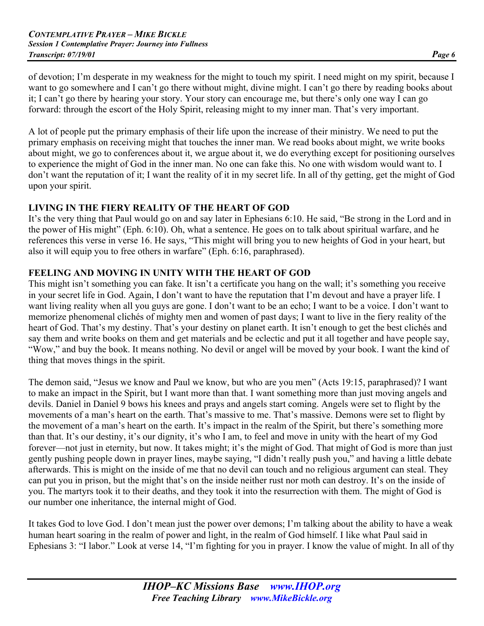of devotion; I'm desperate in my weakness for the might to touch my spirit. I need might on my spirit, because I want to go somewhere and I can't go there without might, divine might. I can't go there by reading books about it; I can't go there by hearing your story. Your story can encourage me, but there's only one way I can go forward: through the escort of the Holy Spirit, releasing might to my inner man. That's very important.

A lot of people put the primary emphasis of their life upon the increase of their ministry. We need to put the primary emphasis on receiving might that touches the inner man. We read books about might, we write books about might, we go to conferences about it, we argue about it, we do everything except for positioning ourselves to experience the might of God in the inner man. No one can fake this. No one with wisdom would want to. I don't want the reputation of it; I want the reality of it in my secret life. In all of thy getting, get the might of God upon your spirit.

#### **LIVING IN THE FIERY REALITY OF THE HEART OF GOD**

It's the very thing that Paul would go on and say later in Ephesians 6:10. He said, "Be strong in the Lord and in the power of His might" (Eph. 6:10). Oh, what a sentence. He goes on to talk about spiritual warfare, and he references this verse in verse 16. He says, "This might will bring you to new heights of God in your heart, but also it will equip you to free others in warfare" (Eph. 6:16, paraphrased).

## **FEELING AND MOVING IN UNITY WITH THE HEART OF GOD**

This might isn't something you can fake. It isn't a certificate you hang on the wall; it's something you receive in your secret life in God. Again, I don't want to have the reputation that I'm devout and have a prayer life. I want living reality when all you guys are gone. I don't want to be an echo; I want to be a voice. I don't want to memorize phenomenal clichés of mighty men and women of past days; I want to live in the fiery reality of the heart of God. That's my destiny. That's your destiny on planet earth. It isn't enough to get the best clichés and say them and write books on them and get materials and be eclectic and put it all together and have people say, "Wow," and buy the book. It means nothing. No devil or angel will be moved by your book. I want the kind of thing that moves things in the spirit.

The demon said, "Jesus we know and Paul we know, but who are you men" (Acts 19:15, paraphrased)? I want to make an impact in the Spirit, but I want more than that. I want something more than just moving angels and devils. Daniel in Daniel 9 bows his knees and prays and angels start coming. Angels were set to flight by the movements of a man's heart on the earth. That's massive to me. That's massive. Demons were set to flight by the movement of a man's heart on the earth. It's impact in the realm of the Spirit, but there's something more than that. It's our destiny, it's our dignity, it's who I am, to feel and move in unity with the heart of my God forever—not just in eternity, but now. It takes might; it's the might of God. That might of God is more than just gently pushing people down in prayer lines, maybe saying, "I didn't really push you," and having a little debate afterwards. This is might on the inside of me that no devil can touch and no religious argument can steal. They can put you in prison, but the might that's on the inside neither rust nor moth can destroy. It's on the inside of you. The martyrs took it to their deaths, and they took it into the resurrection with them. The might of God is our number one inheritance, the internal might of God.

It takes God to love God. I don't mean just the power over demons; I'm talking about the ability to have a weak human heart soaring in the realm of power and light, in the realm of God himself. I like what Paul said in Ephesians 3: "I labor." Look at verse 14, "I'm fighting for you in prayer. I know the value of might. In all of thy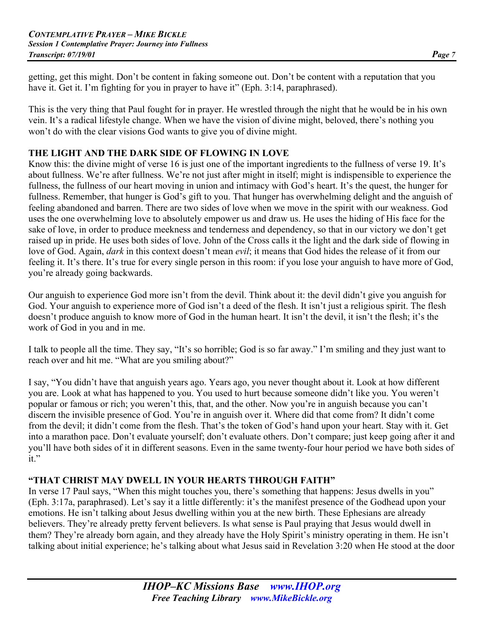getting, get this might. Don't be content in faking someone out. Don't be content with a reputation that you have it. Get it. I'm fighting for you in prayer to have it" (Eph. 3:14, paraphrased).

This is the very thing that Paul fought for in prayer. He wrestled through the night that he would be in his own vein. It's a radical lifestyle change. When we have the vision of divine might, beloved, there's nothing you won't do with the clear visions God wants to give you of divine might.

#### **THE LIGHT AND THE DARK SIDE OF FLOWING IN LOVE**

Know this: the divine might of verse 16 is just one of the important ingredients to the fullness of verse 19. It's about fullness. We're after fullness. We're not just after might in itself; might is indispensible to experience the fullness, the fullness of our heart moving in union and intimacy with God's heart. It's the quest, the hunger for fullness. Remember, that hunger is God's gift to you. That hunger has overwhelming delight and the anguish of feeling abandoned and barren. There are two sides of love when we move in the spirit with our weakness. God uses the one overwhelming love to absolutely empower us and draw us. He uses the hiding of His face for the sake of love, in order to produce meekness and tenderness and dependency, so that in our victory we don't get raised up in pride. He uses both sides of love. John of the Cross calls it the light and the dark side of flowing in love of God. Again, *dark* in this context doesn't mean *evil*; it means that God hides the release of it from our feeling it. It's there. It's true for every single person in this room: if you lose your anguish to have more of God, you're already going backwards.

Our anguish to experience God more isn't from the devil. Think about it: the devil didn't give you anguish for God. Your anguish to experience more of God isn't a deed of the flesh. It isn't just a religious spirit. The flesh doesn't produce anguish to know more of God in the human heart. It isn't the devil, it isn't the flesh; it's the work of God in you and in me.

I talk to people all the time. They say, "It's so horrible; God is so far away." I'm smiling and they just want to reach over and hit me. "What are you smiling about?"

I say, "You didn't have that anguish years ago. Years ago, you never thought about it. Look at how different you are. Look at what has happened to you. You used to hurt because someone didn't like you. You weren't popular or famous or rich; you weren't this, that, and the other. Now you're in anguish because you can't discern the invisible presence of God. You're in anguish over it. Where did that come from? It didn't come from the devil; it didn't come from the flesh. That's the token of God's hand upon your heart. Stay with it. Get into a marathon pace. Don't evaluate yourself; don't evaluate others. Don't compare; just keep going after it and you'll have both sides of it in different seasons. Even in the same twenty-four hour period we have both sides of it."

#### **"THAT CHRIST MAY DWELL IN YOUR HEARTS THROUGH FAITH"**

In verse 17 Paul says, "When this might touches you, there's something that happens: Jesus dwells in you" (Eph. 3:17a, paraphrased). Let's say it a little differently: it's the manifest presence of the Godhead upon your emotions. He isn't talking about Jesus dwelling within you at the new birth. These Ephesians are already believers. They're already pretty fervent believers. Is what sense is Paul praying that Jesus would dwell in them? They're already born again, and they already have the Holy Spirit's ministry operating in them. He isn't talking about initial experience; he's talking about what Jesus said in Revelation 3:20 when He stood at the door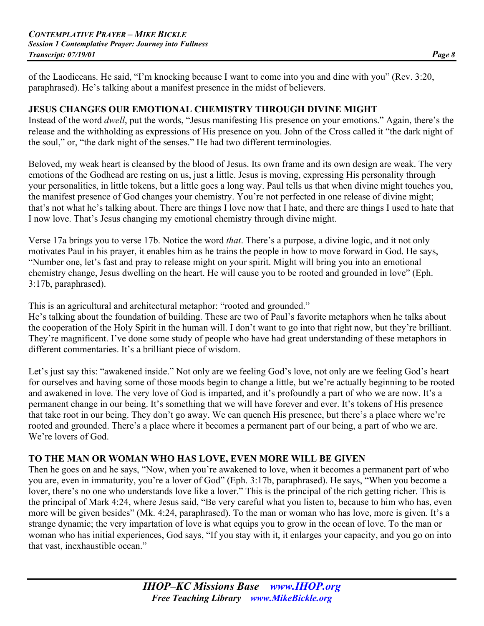of the Laodiceans. He said, "I'm knocking because I want to come into you and dine with you" (Rev. 3:20, paraphrased). He's talking about a manifest presence in the midst of believers.

#### **JESUS CHANGES OUR EMOTIONAL CHEMISTRY THROUGH DIVINE MIGHT**

Instead of the word *dwell*, put the words, "Jesus manifesting His presence on your emotions." Again, there's the release and the withholding as expressions of His presence on you. John of the Cross called it "the dark night of the soul," or, "the dark night of the senses." He had two different terminologies.

Beloved, my weak heart is cleansed by the blood of Jesus. Its own frame and its own design are weak. The very emotions of the Godhead are resting on us, just a little. Jesus is moving, expressing His personality through your personalities, in little tokens, but a little goes a long way. Paul tells us that when divine might touches you, the manifest presence of God changes your chemistry. You're not perfected in one release of divine might; that's not what he's talking about. There are things I love now that I hate, and there are things I used to hate that I now love. That's Jesus changing my emotional chemistry through divine might.

Verse 17a brings you to verse 17b. Notice the word *that*. There's a purpose, a divine logic, and it not only motivates Paul in his prayer, it enables him as he trains the people in how to move forward in God. He says, "Number one, let's fast and pray to release might on your spirit. Might will bring you into an emotional chemistry change, Jesus dwelling on the heart. He will cause you to be rooted and grounded in love" (Eph. 3:17b, paraphrased).

This is an agricultural and architectural metaphor: "rooted and grounded."

He's talking about the foundation of building. These are two of Paul's favorite metaphors when he talks about the cooperation of the Holy Spirit in the human will. I don't want to go into that right now, but they're brilliant. They're magnificent. I've done some study of people who have had great understanding of these metaphors in different commentaries. It's a brilliant piece of wisdom.

Let's just say this: "awakened inside." Not only are we feeling God's love, not only are we feeling God's heart for ourselves and having some of those moods begin to change a little, but we're actually beginning to be rooted and awakened in love. The very love of God is imparted, and it's profoundly a part of who we are now. It's a permanent change in our being. It's something that we will have forever and ever. It's tokens of His presence that take root in our being. They don't go away. We can quench His presence, but there's a place where we're rooted and grounded. There's a place where it becomes a permanent part of our being, a part of who we are. We're lovers of God.

#### **TO THE MAN OR WOMAN WHO HAS LOVE, EVEN MORE WILL BE GIVEN**

Then he goes on and he says, "Now, when you're awakened to love, when it becomes a permanent part of who you are, even in immaturity, you're a lover of God" (Eph. 3:17b, paraphrased). He says, "When you become a lover, there's no one who understands love like a lover." This is the principal of the rich getting richer. This is the principal of Mark 4:24, where Jesus said, "Be very careful what you listen to, because to him who has, even more will be given besides" (Mk. 4:24, paraphrased). To the man or woman who has love, more is given. It's a strange dynamic; the very impartation of love is what equips you to grow in the ocean of love. To the man or woman who has initial experiences, God says, "If you stay with it, it enlarges your capacity, and you go on into that vast, inexhaustible ocean."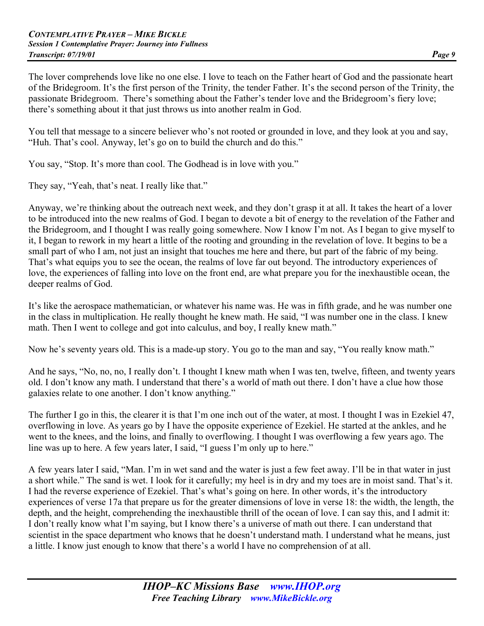The lover comprehends love like no one else. I love to teach on the Father heart of God and the passionate heart of the Bridegroom. It's the first person of the Trinity, the tender Father. It's the second person of the Trinity, the passionate Bridegroom. There's something about the Father's tender love and the Bridegroom's fiery love; there's something about it that just throws us into another realm in God.

You tell that message to a sincere believer who's not rooted or grounded in love, and they look at you and say, "Huh. That's cool. Anyway, let's go on to build the church and do this."

You say, "Stop. It's more than cool. The Godhead is in love with you."

They say, "Yeah, that's neat. I really like that."

Anyway, we're thinking about the outreach next week, and they don't grasp it at all. It takes the heart of a lover to be introduced into the new realms of God. I began to devote a bit of energy to the revelation of the Father and the Bridegroom, and I thought I was really going somewhere. Now I know I'm not. As I began to give myself to it, I began to rework in my heart a little of the rooting and grounding in the revelation of love. It begins to be a small part of who I am, not just an insight that touches me here and there, but part of the fabric of my being. That's what equips you to see the ocean, the realms of love far out beyond. The introductory experiences of love, the experiences of falling into love on the front end, are what prepare you for the inexhaustible ocean, the deeper realms of God.

It's like the aerospace mathematician, or whatever his name was. He was in fifth grade, and he was number one in the class in multiplication. He really thought he knew math. He said, "I was number one in the class. I knew math. Then I went to college and got into calculus, and boy, I really knew math."

Now he's seventy years old. This is a made-up story. You go to the man and say, "You really know math."

And he says, "No, no, no, I really don't. I thought I knew math when I was ten, twelve, fifteen, and twenty years old. I don't know any math. I understand that there's a world of math out there. I don't have a clue how those galaxies relate to one another. I don't know anything."

The further I go in this, the clearer it is that I'm one inch out of the water, at most. I thought I was in Ezekiel 47, overflowing in love. As years go by I have the opposite experience of Ezekiel. He started at the ankles, and he went to the knees, and the loins, and finally to overflowing. I thought I was overflowing a few years ago. The line was up to here. A few years later, I said, "I guess I'm only up to here."

A few years later I said, "Man. I'm in wet sand and the water is just a few feet away. I'll be in that water in just a short while." The sand is wet. I look for it carefully; my heel is in dry and my toes are in moist sand. That's it. I had the reverse experience of Ezekiel. That's what's going on here. In other words, it's the introductory experiences of verse 17a that prepare us for the greater dimensions of love in verse 18: the width, the length, the depth, and the height, comprehending the inexhaustible thrill of the ocean of love. I can say this, and I admit it: I don't really know what I'm saying, but I know there's a universe of math out there. I can understand that scientist in the space department who knows that he doesn't understand math. I understand what he means, just a little. I know just enough to know that there's a world I have no comprehension of at all.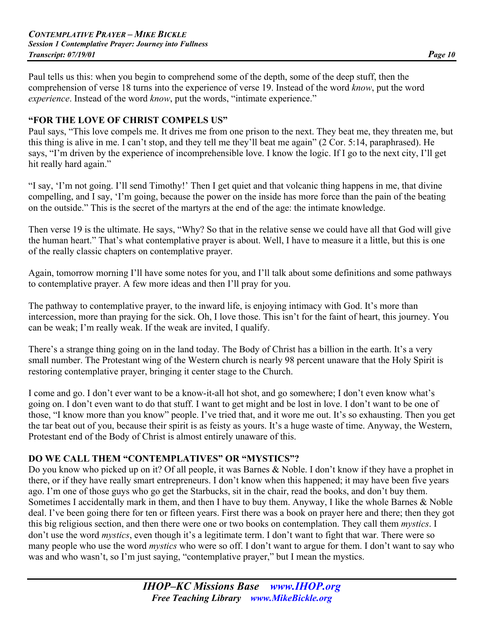Paul tells us this: when you begin to comprehend some of the depth, some of the deep stuff, then the comprehension of verse 18 turns into the experience of verse 19. Instead of the word *know*, put the word *experience*. Instead of the word *know*, put the words, "intimate experience."

#### **"FOR THE LOVE OF CHRIST COMPELS US"**

Paul says, "This love compels me. It drives me from one prison to the next. They beat me, they threaten me, but this thing is alive in me. I can't stop, and they tell me they'll beat me again" (2 Cor. 5:14, paraphrased). He says, "I'm driven by the experience of incomprehensible love. I know the logic. If I go to the next city, I'll get hit really hard again."

"I say, 'I'm not going. I'll send Timothy!' Then I get quiet and that volcanic thing happens in me, that divine compelling, and I say, 'I'm going, because the power on the inside has more force than the pain of the beating on the outside." This is the secret of the martyrs at the end of the age: the intimate knowledge.

Then verse 19 is the ultimate. He says, "Why? So that in the relative sense we could have all that God will give the human heart." That's what contemplative prayer is about. Well, I have to measure it a little, but this is one of the really classic chapters on contemplative prayer.

Again, tomorrow morning I'll have some notes for you, and I'll talk about some definitions and some pathways to contemplative prayer. A few more ideas and then I'll pray for you.

The pathway to contemplative prayer, to the inward life, is enjoying intimacy with God. It's more than intercession, more than praying for the sick. Oh, I love those. This isn't for the faint of heart, this journey. You can be weak; I'm really weak. If the weak are invited, I qualify.

There's a strange thing going on in the land today. The Body of Christ has a billion in the earth. It's a very small number. The Protestant wing of the Western church is nearly 98 percent unaware that the Holy Spirit is restoring contemplative prayer, bringing it center stage to the Church.

I come and go. I don't ever want to be a know-it-all hot shot, and go somewhere; I don't even know what's going on. I don't even want to do that stuff. I want to get might and be lost in love. I don't want to be one of those, "I know more than you know" people. I've tried that, and it wore me out. It's so exhausting. Then you get the tar beat out of you, because their spirit is as feisty as yours. It's a huge waste of time. Anyway, the Western, Protestant end of the Body of Christ is almost entirely unaware of this.

#### **DO WE CALL THEM "CONTEMPLATIVES" OR "MYSTICS"?**

Do you know who picked up on it? Of all people, it was Barnes & Noble. I don't know if they have a prophet in there, or if they have really smart entrepreneurs. I don't know when this happened; it may have been five years ago. I'm one of those guys who go get the Starbucks, sit in the chair, read the books, and don't buy them. Sometimes I accidentally mark in them, and then I have to buy them. Anyway, I like the whole Barnes & Noble deal. I've been going there for ten or fifteen years. First there was a book on prayer here and there; then they got this big religious section, and then there were one or two books on contemplation. They call them *mystics*. I don't use the word *mystics*, even though it's a legitimate term. I don't want to fight that war. There were so many people who use the word *mystics* who were so off. I don't want to argue for them. I don't want to say who was and who wasn't, so I'm just saying, "contemplative prayer," but I mean the mystics.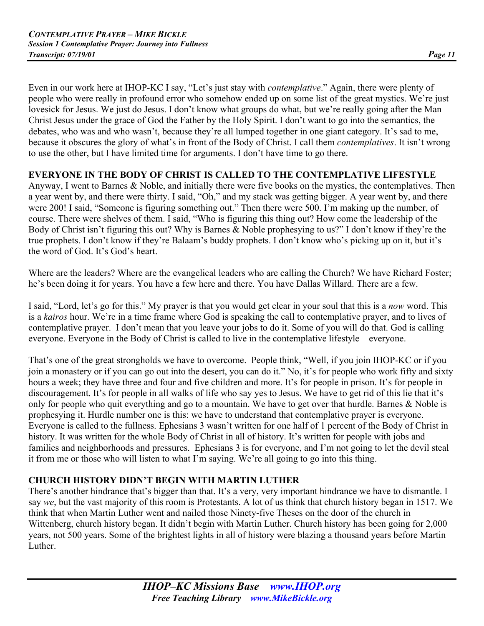Even in our work here at IHOP-KC I say, "Let's just stay with *contemplative*." Again, there were plenty of people who were really in profound error who somehow ended up on some list of the great mystics. We're just lovesick for Jesus. We just do Jesus. I don't know what groups do what, but we're really going after the Man Christ Jesus under the grace of God the Father by the Holy Spirit. I don't want to go into the semantics, the debates, who was and who wasn't, because they're all lumped together in one giant category. It's sad to me, because it obscures the glory of what's in front of the Body of Christ. I call them *contemplatives*. It isn't wrong to use the other, but I have limited time for arguments. I don't have time to go there.

#### **EVERYONE IN THE BODY OF CHRIST IS CALLED TO THE CONTEMPLATIVE LIFESTYLE**

Anyway, I went to Barnes & Noble, and initially there were five books on the mystics, the contemplatives. Then a year went by, and there were thirty. I said, "Oh," and my stack was getting bigger. A year went by, and there were 200! I said, "Someone is figuring something out." Then there were 500. I'm making up the number, of course. There were shelves of them. I said, "Who is figuring this thing out? How come the leadership of the Body of Christ isn't figuring this out? Why is Barnes & Noble prophesying to us?" I don't know if they're the true prophets. I don't know if they're Balaam's buddy prophets. I don't know who's picking up on it, but it's the word of God. It's God's heart.

Where are the leaders? Where are the evangelical leaders who are calling the Church? We have Richard Foster; he's been doing it for years. You have a few here and there. You have Dallas Willard. There are a few.

I said, "Lord, let's go for this." My prayer is that you would get clear in your soul that this is a *now* word. This is a *kairos* hour. We're in a time frame where God is speaking the call to contemplative prayer, and to lives of contemplative prayer. I don't mean that you leave your jobs to do it. Some of you will do that. God is calling everyone. Everyone in the Body of Christ is called to live in the contemplative lifestyle—everyone.

That's one of the great strongholds we have to overcome. People think, "Well, if you join IHOP-KC or if you join a monastery or if you can go out into the desert, you can do it." No, it's for people who work fifty and sixty hours a week; they have three and four and five children and more. It's for people in prison. It's for people in discouragement. It's for people in all walks of life who say yes to Jesus. We have to get rid of this lie that it's only for people who quit everything and go to a mountain. We have to get over that hurdle. Barnes & Noble is prophesying it. Hurdle number one is this: we have to understand that contemplative prayer is everyone. Everyone is called to the fullness. Ephesians 3 wasn't written for one half of 1 percent of the Body of Christ in history. It was written for the whole Body of Christ in all of history. It's written for people with jobs and families and neighborhoods and pressures. Ephesians 3 is for everyone, and I'm not going to let the devil steal it from me or those who will listen to what I'm saying. We're all going to go into this thing.

# **CHURCH HISTORY DIDN'T BEGIN WITH MARTIN LUTHER**

There's another hindrance that's bigger than that. It's a very, very important hindrance we have to dismantle. I say *we*, but the vast majority of this room is Protestants. A lot of us think that church history began in 1517. We think that when Martin Luther went and nailed those Ninety-five Theses on the door of the church in Wittenberg, church history began. It didn't begin with Martin Luther. Church history has been going for 2,000 years, not 500 years. Some of the brightest lights in all of history were blazing a thousand years before Martin **Luther**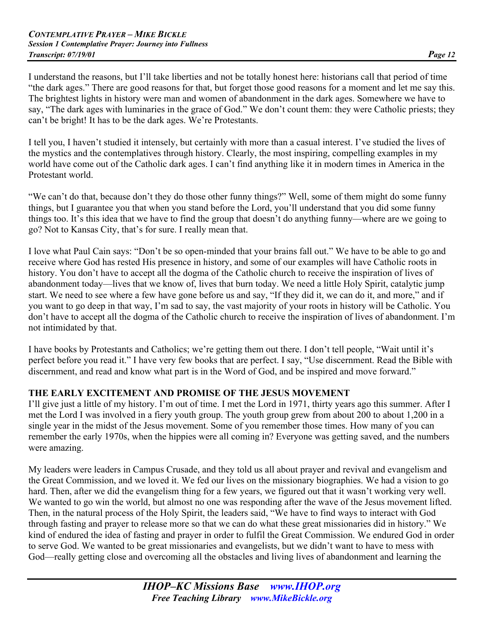I understand the reasons, but I'll take liberties and not be totally honest here: historians call that period of time "the dark ages." There are good reasons for that, but forget those good reasons for a moment and let me say this. The brightest lights in history were man and women of abandonment in the dark ages. Somewhere we have to say, "The dark ages with luminaries in the grace of God." We don't count them: they were Catholic priests; they can't be bright! It has to be the dark ages. We're Protestants.

I tell you, I haven't studied it intensely, but certainly with more than a casual interest. I've studied the lives of the mystics and the contemplatives through history. Clearly, the most inspiring, compelling examples in my world have come out of the Catholic dark ages. I can't find anything like it in modern times in America in the Protestant world.

"We can't do that, because don't they do those other funny things?" Well, some of them might do some funny things, but I guarantee you that when you stand before the Lord, you'll understand that you did some funny things too. It's this idea that we have to find the group that doesn't do anything funny—where are we going to go? Not to Kansas City, that's for sure. I really mean that.

I love what Paul Cain says: "Don't be so open-minded that your brains fall out." We have to be able to go and receive where God has rested His presence in history, and some of our examples will have Catholic roots in history. You don't have to accept all the dogma of the Catholic church to receive the inspiration of lives of abandonment today—lives that we know of, lives that burn today. We need a little Holy Spirit, catalytic jump start. We need to see where a few have gone before us and say, "If they did it, we can do it, and more," and if you want to go deep in that way, I'm sad to say, the vast majority of your roots in history will be Catholic. You don't have to accept all the dogma of the Catholic church to receive the inspiration of lives of abandonment. I'm not intimidated by that.

I have books by Protestants and Catholics; we're getting them out there. I don't tell people, "Wait until it's perfect before you read it." I have very few books that are perfect. I say, "Use discernment. Read the Bible with discernment, and read and know what part is in the Word of God, and be inspired and move forward."

#### **THE EARLY EXCITEMENT AND PROMISE OF THE JESUS MOVEMENT**

I'll give just a little of my history. I'm out of time. I met the Lord in 1971, thirty years ago this summer. After I met the Lord I was involved in a fiery youth group. The youth group grew from about 200 to about 1,200 in a single year in the midst of the Jesus movement. Some of you remember those times. How many of you can remember the early 1970s, when the hippies were all coming in? Everyone was getting saved, and the numbers were amazing.

My leaders were leaders in Campus Crusade, and they told us all about prayer and revival and evangelism and the Great Commission, and we loved it. We fed our lives on the missionary biographies. We had a vision to go hard. Then, after we did the evangelism thing for a few years, we figured out that it wasn't working very well. We wanted to go win the world, but almost no one was responding after the wave of the Jesus movement lifted. Then, in the natural process of the Holy Spirit, the leaders said, "We have to find ways to interact with God through fasting and prayer to release more so that we can do what these great missionaries did in history." We kind of endured the idea of fasting and prayer in order to fulfil the Great Commission. We endured God in order to serve God. We wanted to be great missionaries and evangelists, but we didn't want to have to mess with God—really getting close and overcoming all the obstacles and living lives of abandonment and learning the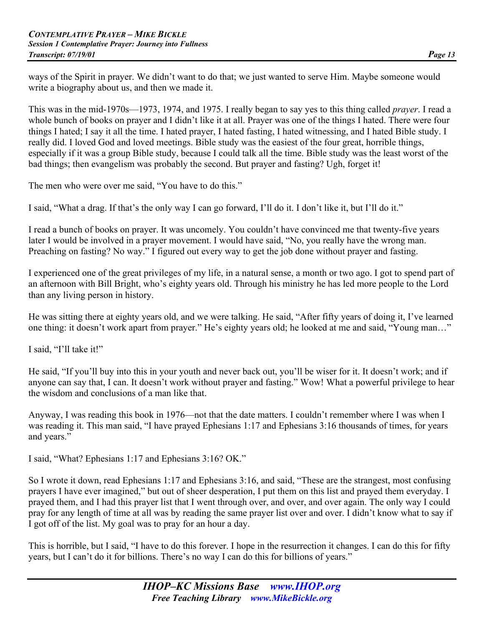ways of the Spirit in prayer. We didn't want to do that; we just wanted to serve Him. Maybe someone would write a biography about us, and then we made it.

This was in the mid-1970s—1973, 1974, and 1975. I really began to say yes to this thing called *prayer*. I read a whole bunch of books on prayer and I didn't like it at all. Prayer was one of the things I hated. There were four things I hated; I say it all the time. I hated prayer, I hated fasting, I hated witnessing, and I hated Bible study. I really did. I loved God and loved meetings. Bible study was the easiest of the four great, horrible things, especially if it was a group Bible study, because I could talk all the time. Bible study was the least worst of the bad things; then evangelism was probably the second. But prayer and fasting? Ugh, forget it!

The men who were over me said, "You have to do this."

I said, "What a drag. If that's the only way I can go forward, I'll do it. I don't like it, but I'll do it."

I read a bunch of books on prayer. It was uncomely. You couldn't have convinced me that twenty-five years later I would be involved in a prayer movement. I would have said, "No, you really have the wrong man. Preaching on fasting? No way." I figured out every way to get the job done without prayer and fasting.

I experienced one of the great privileges of my life, in a natural sense, a month or two ago. I got to spend part of an afternoon with Bill Bright, who's eighty years old. Through his ministry he has led more people to the Lord than any living person in history.

He was sitting there at eighty years old, and we were talking. He said, "After fifty years of doing it, I've learned one thing: it doesn't work apart from prayer." He's eighty years old; he looked at me and said, "Young man…"

I said, "I'll take it!"

He said, "If you'll buy into this in your youth and never back out, you'll be wiser for it. It doesn't work; and if anyone can say that, I can. It doesn't work without prayer and fasting." Wow! What a powerful privilege to hear the wisdom and conclusions of a man like that.

Anyway, I was reading this book in 1976—not that the date matters. I couldn't remember where I was when I was reading it. This man said, "I have prayed Ephesians 1:17 and Ephesians 3:16 thousands of times, for years and years."

I said, "What? Ephesians 1:17 and Ephesians 3:16? OK."

So I wrote it down, read Ephesians 1:17 and Ephesians 3:16, and said, "These are the strangest, most confusing prayers I have ever imagined," but out of sheer desperation, I put them on this list and prayed them everyday. I prayed them, and I had this prayer list that I went through over, and over, and over again. The only way I could pray for any length of time at all was by reading the same prayer list over and over. I didn't know what to say if I got off of the list. My goal was to pray for an hour a day.

This is horrible, but I said, "I have to do this forever. I hope in the resurrection it changes. I can do this for fifty years, but I can't do it for billions. There's no way I can do this for billions of years."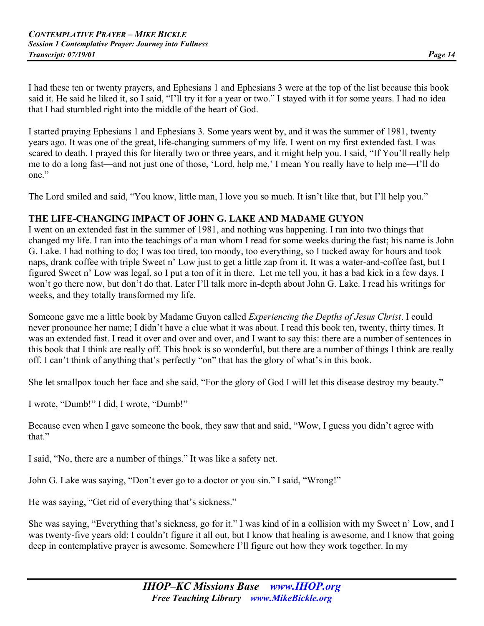I had these ten or twenty prayers, and Ephesians 1 and Ephesians 3 were at the top of the list because this book said it. He said he liked it, so I said, "I'll try it for a year or two." I stayed with it for some years. I had no idea that I had stumbled right into the middle of the heart of God.

I started praying Ephesians 1 and Ephesians 3. Some years went by, and it was the summer of 1981, twenty years ago. It was one of the great, life-changing summers of my life. I went on my first extended fast. I was scared to death. I prayed this for literally two or three years, and it might help you. I said, "If You'll really help me to do a long fast—and not just one of those, 'Lord, help me,' I mean You really have to help me—I'll do one."

The Lord smiled and said, "You know, little man, I love you so much. It isn't like that, but I'll help you."

#### **THE LIFE-CHANGING IMPACT OF JOHN G. LAKE AND MADAME GUYON**

I went on an extended fast in the summer of 1981, and nothing was happening. I ran into two things that changed my life. I ran into the teachings of a man whom I read for some weeks during the fast; his name is John G. Lake. I had nothing to do; I was too tired, too moody, too everything, so I tucked away for hours and took naps, drank coffee with triple Sweet n' Low just to get a little zap from it. It was a water-and-coffee fast, but I figured Sweet n' Low was legal, so I put a ton of it in there. Let me tell you, it has a bad kick in a few days. I won't go there now, but don't do that. Later I'll talk more in-depth about John G. Lake. I read his writings for weeks, and they totally transformed my life.

Someone gave me a little book by Madame Guyon called *Experiencing the Depths of Jesus Christ*. I could never pronounce her name; I didn't have a clue what it was about. I read this book ten, twenty, thirty times. It was an extended fast. I read it over and over and over, and I want to say this: there are a number of sentences in this book that I think are really off. This book is so wonderful, but there are a number of things I think are really off. I can't think of anything that's perfectly "on" that has the glory of what's in this book.

She let smallpox touch her face and she said, "For the glory of God I will let this disease destroy my beauty."

I wrote, "Dumb!" I did, I wrote, "Dumb!"

Because even when I gave someone the book, they saw that and said, "Wow, I guess you didn't agree with that."

I said, "No, there are a number of things." It was like a safety net.

John G. Lake was saying, "Don't ever go to a doctor or you sin." I said, "Wrong!"

He was saying, "Get rid of everything that's sickness."

She was saying, "Everything that's sickness, go for it." I was kind of in a collision with my Sweet n' Low, and I was twenty-five years old; I couldn't figure it all out, but I know that healing is awesome, and I know that going deep in contemplative prayer is awesome. Somewhere I'll figure out how they work together. In my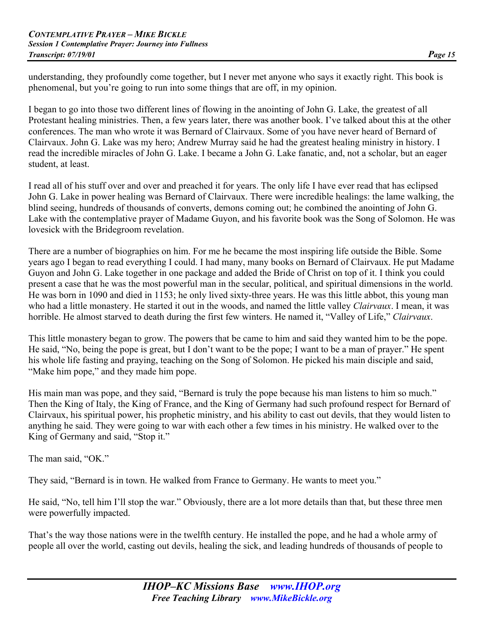understanding, they profoundly come together, but I never met anyone who says it exactly right. This book is phenomenal, but you're going to run into some things that are off, in my opinion.

I began to go into those two different lines of flowing in the anointing of John G. Lake, the greatest of all Protestant healing ministries. Then, a few years later, there was another book. I've talked about this at the other conferences. The man who wrote it was Bernard of Clairvaux. Some of you have never heard of Bernard of Clairvaux. John G. Lake was my hero; Andrew Murray said he had the greatest healing ministry in history. I read the incredible miracles of John G. Lake. I became a John G. Lake fanatic, and, not a scholar, but an eager student, at least.

I read all of his stuff over and over and preached it for years. The only life I have ever read that has eclipsed John G. Lake in power healing was Bernard of Clairvaux. There were incredible healings: the lame walking, the blind seeing, hundreds of thousands of converts, demons coming out; he combined the anointing of John G. Lake with the contemplative prayer of Madame Guyon, and his favorite book was the Song of Solomon. He was lovesick with the Bridegroom revelation.

There are a number of biographies on him. For me he became the most inspiring life outside the Bible. Some years ago I began to read everything I could. I had many, many books on Bernard of Clairvaux. He put Madame Guyon and John G. Lake together in one package and added the Bride of Christ on top of it. I think you could present a case that he was the most powerful man in the secular, political, and spiritual dimensions in the world. He was born in 1090 and died in 1153; he only lived sixty-three years. He was this little abbot, this young man who had a little monastery. He started it out in the woods, and named the little valley *Clairvaux*. I mean, it was horrible. He almost starved to death during the first few winters. He named it, "Valley of Life," *Clairvaux*.

This little monastery began to grow. The powers that be came to him and said they wanted him to be the pope. He said, "No, being the pope is great, but I don't want to be the pope; I want to be a man of prayer." He spent his whole life fasting and praying, teaching on the Song of Solomon. He picked his main disciple and said, "Make him pope," and they made him pope.

His main man was pope, and they said, "Bernard is truly the pope because his man listens to him so much." Then the King of Italy, the King of France, and the King of Germany had such profound respect for Bernard of Clairvaux, his spiritual power, his prophetic ministry, and his ability to cast out devils, that they would listen to anything he said. They were going to war with each other a few times in his ministry. He walked over to the King of Germany and said, "Stop it."

The man said, "OK."

They said, "Bernard is in town. He walked from France to Germany. He wants to meet you."

He said, "No, tell him I'll stop the war." Obviously, there are a lot more details than that, but these three men were powerfully impacted.

That's the way those nations were in the twelfth century. He installed the pope, and he had a whole army of people all over the world, casting out devils, healing the sick, and leading hundreds of thousands of people to